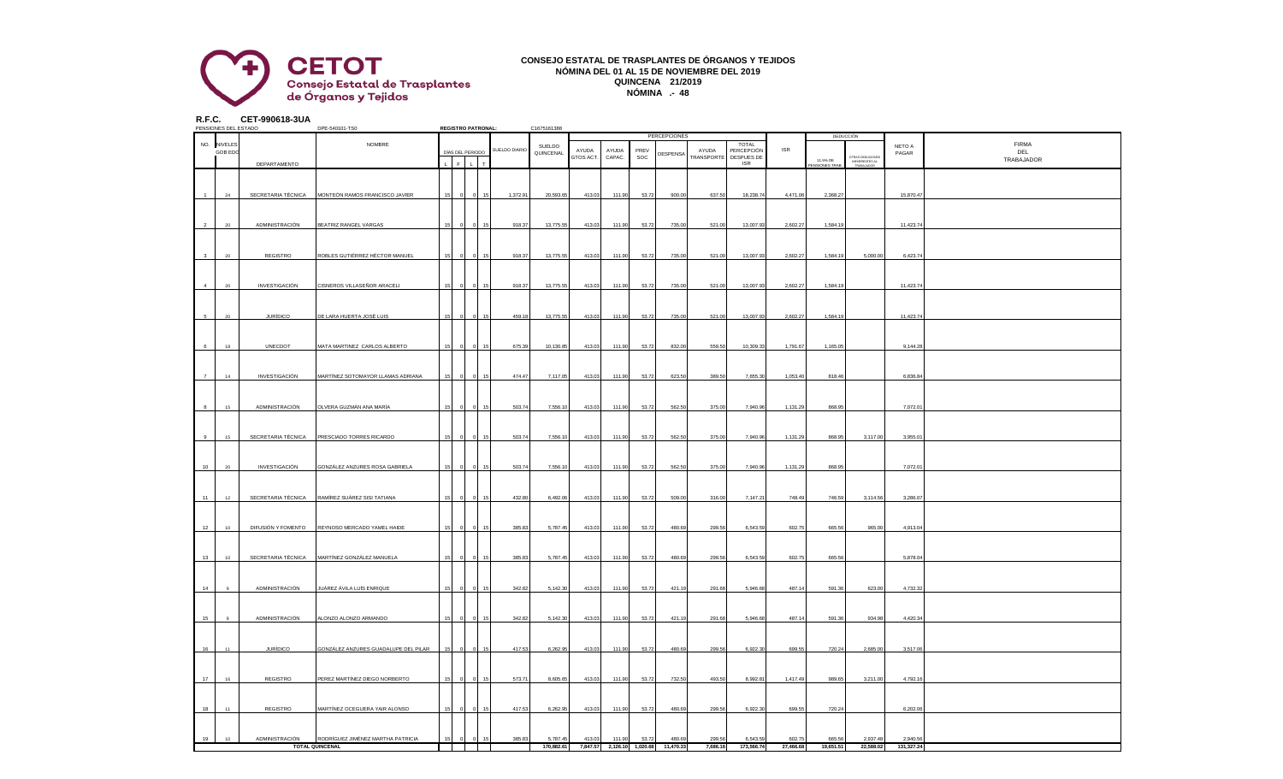

## **CONSEJO ESTATAL DE TRASPLANTES DE ÓRGANOS Y TEJIDOS NÓMINA DEL 01 AL 15 DE NOVIEMBRE DEL 2019 QUINCENA 21/2019 NÓMINA .- 48**

**R.F.C. CET-990618-3UA**

|    | PENSIONES DEL ESTADO |                    | DPE-540101-TS0                                 |    | <b>REGISTRO PATRONAL:</b> |                               |               | C1675161388 |                    |                 |             |                                      |                     |                          |            |              |                                                 |            |              |
|----|----------------------|--------------------|------------------------------------------------|----|---------------------------|-------------------------------|---------------|-------------|--------------------|-----------------|-------------|--------------------------------------|---------------------|--------------------------|------------|--------------|-------------------------------------------------|------------|--------------|
|    |                      |                    |                                                |    |                           |                               |               |             |                    |                 |             | PERCEPCIONES                         |                     |                          |            |              | DEDUCCIÓN                                       |            |              |
|    | NO. NIVELES          |                    | NOMBRE                                         |    |                           |                               |               | SUELDO      |                    |                 |             |                                      |                     | <b>TOTAL</b>             | <b>ISR</b> |              |                                                 | NETO A     | <b>FIRMA</b> |
|    | <b>GOB EDC</b>       |                    |                                                |    | DÍAS DEL PERIODO          |                               | SUELDO DIARIO | QUINCENAL   | AYUDA<br>GTOS ACT. | AYUDA<br>CAPAC. | PREV<br>SOC | DESPENSA                             | AYUDA<br>TRANSPORTE | PERCEPCIÓN<br>DESPUES DE |            |              |                                                 | PAGAR      | DEL          |
|    |                      | DEPARTAMENTO       |                                                |    | F                         | $\mathsf{L}^{\top}$<br>$\tau$ |               |             |                    |                 |             |                                      |                     | <b>ISR</b>               |            | 11.5% DE     | OTRAS DEDUCIONE<br>INEHERENTES AL<br>TRABAJADOR |            | TRABAJADOR   |
|    |                      |                    |                                                |    |                           |                               |               |             |                    |                 |             |                                      |                     |                          |            | NSIONES TRAB |                                                 |            |              |
|    |                      |                    |                                                |    |                           |                               |               |             |                    |                 |             |                                      |                     |                          |            |              |                                                 |            |              |
|    |                      |                    |                                                |    |                           |                               |               |             |                    |                 |             |                                      |                     |                          |            |              |                                                 |            |              |
|    |                      |                    |                                                |    |                           |                               |               |             |                    |                 |             |                                      |                     |                          |            |              |                                                 |            |              |
|    | 24                   | SECRETARIA TÉCNICA | MONTEÓN RAMOS FRANCISCO JAVIER                 |    |                           | $\Omega$<br>15                | 1,372.91      | 20,593.65   | 413.03             | 111.90          | 53.72       | 900.00                               | 637.50              | 18,238.74                | 4,471.06   | 2,368.27     |                                                 | 15,870.47  |              |
|    |                      |                    |                                                |    |                           |                               |               |             |                    |                 |             |                                      |                     |                          |            |              |                                                 |            |              |
|    |                      |                    |                                                |    |                           |                               |               |             |                    |                 |             |                                      |                     |                          |            |              |                                                 |            |              |
|    |                      |                    |                                                |    |                           |                               |               |             |                    |                 |             |                                      |                     |                          |            |              |                                                 |            |              |
|    | 20                   | ADMINISTRACIÓN     | BEATRIZ RANGEL VARGAS                          |    |                           |                               | 918.37        | 13,775.55   | 413.03             | 111.90          | 53.72       | 735.00                               | 521.00              | 13,007.93                | 2,602.27   | 1,584.19     |                                                 | 11,423.7   |              |
|    |                      |                    |                                                |    |                           |                               |               |             |                    |                 |             |                                      |                     |                          |            |              |                                                 |            |              |
|    |                      |                    |                                                |    |                           |                               |               |             |                    |                 |             |                                      |                     |                          |            |              |                                                 |            |              |
|    |                      |                    |                                                |    |                           |                               |               |             |                    |                 |             |                                      |                     |                          |            |              |                                                 |            |              |
|    | $20 -$               | REGISTRO           | ROBLES GUTIÉRREZ HÉCTOR MANUEL                 |    |                           |                               | 918.37        | 13,775.55   | 413.03             | 111.90          | 53.72       | 735.00                               | 521.00              | 13,007.93                | 2,602.27   | 1.584.19     | 5,000.00                                        | 6,423.7    |              |
|    |                      |                    |                                                |    |                           |                               |               |             |                    |                 |             |                                      |                     |                          |            |              |                                                 |            |              |
|    |                      |                    |                                                |    |                           |                               |               |             |                    |                 |             |                                      |                     |                          |            |              |                                                 |            |              |
|    |                      |                    |                                                |    |                           |                               |               |             |                    |                 |             |                                      |                     |                          |            |              |                                                 |            |              |
|    | $20\,$               | INVESTIGACIÓN      |                                                |    |                           |                               | 918.37        | 13,775.55   |                    |                 |             |                                      | 521.00              |                          |            | 1,584.19     |                                                 |            |              |
|    |                      |                    | CISNEROS VILLASEÑOR ARACELI                    |    |                           |                               |               |             | 413.03             | 111.90          | 53.72       | 735.00                               |                     | 13,007.93                | 2,602.27   |              |                                                 | 11,423.7   |              |
|    |                      |                    |                                                |    |                           |                               |               |             |                    |                 |             |                                      |                     |                          |            |              |                                                 |            |              |
|    |                      |                    |                                                |    |                           |                               |               |             |                    |                 |             |                                      |                     |                          |            |              |                                                 |            |              |
|    |                      |                    |                                                |    |                           |                               |               |             |                    |                 |             |                                      |                     |                          |            |              |                                                 |            |              |
|    | 20                   | <b>JURÍDICO</b>    | DE LARA HUERTA JOSÉ LUIS                       |    |                           |                               | 459.18        | 13,775.55   | 413.03             | 111.90          | 53.72       | 735.00                               | 521.00              | 13,007.93                | 2,602.27   | 1,584.19     |                                                 | 11,423.7   |              |
|    |                      |                    |                                                |    |                           |                               |               |             |                    |                 |             |                                      |                     |                          |            |              |                                                 |            |              |
|    |                      |                    |                                                |    |                           |                               |               |             |                    |                 |             |                                      |                     |                          |            |              |                                                 |            |              |
|    |                      |                    |                                                |    |                           |                               |               |             |                    |                 |             |                                      |                     |                          |            |              |                                                 |            |              |
|    | 18                   | UNECDOT            | MATA MARTINEZ CARLOS ALBERTO                   |    |                           |                               | 675.39        | 10,130.85   | 413.03             | 111.90          | 53.72       | 832.00                               | 559.50              | 10,309.33                | 1,791.67   | 1,165.0      |                                                 | 9,144.2    |              |
|    |                      |                    |                                                |    |                           |                               |               |             |                    |                 |             |                                      |                     |                          |            |              |                                                 |            |              |
|    |                      |                    |                                                |    |                           |                               |               |             |                    |                 |             |                                      |                     |                          |            |              |                                                 |            |              |
|    |                      |                    |                                                |    |                           |                               |               |             |                    |                 |             |                                      |                     |                          |            |              |                                                 |            |              |
|    | 14                   | INVESTIGACIÓN      | MARTÍNEZ SOTOMAYOR LLAMAS ADRIANA              | 15 | $\overline{0}$            | $\Omega$<br>15                | 474.47        | 7,117.05    | 413.03             | 111.90          | 53.72       | 623.50                               | 389.50              | 7,655.30                 | 1,053.40   | 818.46       |                                                 | 6,836.84   |              |
|    |                      |                    |                                                |    |                           |                               |               |             |                    |                 |             |                                      |                     |                          |            |              |                                                 |            |              |
|    |                      |                    |                                                |    |                           |                               |               |             |                    |                 |             |                                      |                     |                          |            |              |                                                 |            |              |
|    |                      |                    |                                                |    |                           |                               |               |             |                    |                 |             |                                      |                     |                          |            |              |                                                 |            |              |
|    | 15                   | ADMINISTRACIÓN     | OLVERA GUZMÁN ANA MARÍA                        |    |                           |                               | 503.74        | 7,556.10    | 413.03             | 111.90          | 53.72       | 562.50                               | 375.00              | 7,940.96                 | 1,131.29   | 868.95       |                                                 | 7,072.01   |              |
|    |                      |                    |                                                |    |                           |                               |               |             |                    |                 |             |                                      |                     |                          |            |              |                                                 |            |              |
|    |                      |                    |                                                |    |                           |                               |               |             |                    |                 |             |                                      |                     |                          |            |              |                                                 |            |              |
|    |                      |                    |                                                |    |                           |                               |               |             |                    |                 |             |                                      |                     |                          |            |              |                                                 |            |              |
|    | 15                   | SECRETARIA TÉCNICA | PRESCIADO TORRES RICARDO                       |    |                           |                               | 503.74        | 7,556.10    | 413.03             | 111.90          | 53.72       | 562.50                               | 375.00              | 7,940.96                 | 1,131.29   | 868.95       | 3,117.00                                        | 3,955.0    |              |
|    |                      |                    |                                                |    |                           |                               |               |             |                    |                 |             |                                      |                     |                          |            |              |                                                 |            |              |
|    |                      |                    |                                                |    |                           |                               |               |             |                    |                 |             |                                      |                     |                          |            |              |                                                 |            |              |
|    |                      |                    |                                                |    |                           |                               |               |             |                    |                 |             |                                      |                     |                          |            |              |                                                 |            |              |
| 10 | 20                   | INVESTIGACIÓN      | GONZÁLEZ ANZURES ROSA GABRIELA                 |    |                           |                               | 503.74        | 7,556.10    | 413.03             | 111.90          | 53.72       | 562.50                               | 375.00              | 7,940.96                 | 1,131.29   | 868.95       |                                                 | 7,072.01   |              |
|    |                      |                    |                                                |    |                           |                               |               |             |                    |                 |             |                                      |                     |                          |            |              |                                                 |            |              |
|    |                      |                    |                                                |    |                           |                               |               |             |                    |                 |             |                                      |                     |                          |            |              |                                                 |            |              |
|    |                      |                    |                                                |    |                           |                               |               |             |                    |                 |             |                                      |                     |                          |            |              |                                                 |            |              |
| 11 | 12                   | SECRETARIA TÉCNICA | RAMÍREZ SUÁREZ SISI TATIANA                    |    |                           |                               | 432.80        | 6,492.06    | 413.03             | 111.90          | 53.72       | 509.00                               | 316.00              | 7,147.21                 | 748.49     | 746.59       | 3,114.56                                        | 3,286.07   |              |
|    |                      |                    |                                                |    |                           |                               |               |             |                    |                 |             |                                      |                     |                          |            |              |                                                 |            |              |
|    |                      |                    |                                                |    |                           |                               |               |             |                    |                 |             |                                      |                     |                          |            |              |                                                 |            |              |
|    |                      |                    |                                                |    |                           |                               |               |             |                    |                 |             |                                      |                     |                          |            |              |                                                 |            |              |
|    |                      |                    |                                                |    |                           |                               |               |             |                    |                 |             |                                      |                     |                          |            |              |                                                 |            |              |
| 12 | 10                   |                    | DIFUSIÓN Y FOMENTO REYNOSO MERCADO YAMEL HAIDE |    |                           |                               | 385.83        | 5,787.45    | 413.03             | 111.90          | 53.72       | 480.69                               | 299.56              | 6,543.59                 | 602.75     | 665.56       | 965.00                                          | 4,913.04   |              |
|    |                      |                    |                                                |    |                           |                               |               |             |                    |                 |             |                                      |                     |                          |            |              |                                                 |            |              |
|    |                      |                    |                                                |    |                           |                               |               |             |                    |                 |             |                                      |                     |                          |            |              |                                                 |            |              |
|    |                      |                    |                                                |    |                           |                               |               |             |                    |                 |             |                                      |                     |                          |            |              |                                                 |            |              |
| 13 | 10                   | SECRETARIA TÉCNICA | MARTÍNEZ GONZÁLEZ MANUELA                      |    |                           |                               | 385.83        | 5,787.4     | 413.03             | 111.90          | 53.72       | 480.69                               | 299.56              | 6,543.59                 | 602.75     | 665.56       |                                                 | 5,878.0    |              |
|    |                      |                    |                                                |    |                           |                               |               |             |                    |                 |             |                                      |                     |                          |            |              |                                                 |            |              |
|    |                      |                    |                                                |    |                           |                               |               |             |                    |                 |             |                                      |                     |                          |            |              |                                                 |            |              |
|    |                      |                    |                                                |    |                           |                               |               |             |                    |                 |             |                                      |                     |                          |            |              |                                                 |            |              |
| 14 |                      | ADMINISTRACIÓN     | JUÁREZ ÁVILA LUÍS ENRIQUE                      |    |                           |                               | 342.82        | 5,142.30    | 413.03             | 111.90          | 53.72       | 421.19                               | 291.68              | 5,946.68                 | 487.14     | 591.36       | 623.00                                          | 4,732.3    |              |
|    |                      |                    |                                                |    |                           |                               |               |             |                    |                 |             |                                      |                     |                          |            |              |                                                 |            |              |
|    |                      |                    |                                                |    |                           |                               |               |             |                    |                 |             |                                      |                     |                          |            |              |                                                 |            |              |
|    |                      |                    |                                                |    |                           |                               |               |             |                    |                 |             |                                      |                     |                          |            |              |                                                 |            |              |
| 15 | $\mathbf{Q}$         | ADMINISTRACIÓN     | ALONZO ALONZO ARMANDO                          |    |                           | 15                            | 342.82        | 5,142.30    | 413.03             | 111.90          | 53.72       | 421.19                               | 291.68              | 5,946.68                 | 487.14     | 591.36       | 934.98                                          | 4,420.34   |              |
|    |                      |                    |                                                |    |                           |                               |               |             |                    |                 |             |                                      |                     |                          |            |              |                                                 |            |              |
|    |                      |                    |                                                |    |                           |                               |               |             |                    |                 |             |                                      |                     |                          |            |              |                                                 |            |              |
|    |                      |                    |                                                |    |                           |                               |               |             |                    |                 |             |                                      |                     |                          |            |              |                                                 |            |              |
| 16 | 11                   | <b>JURÍDICO</b>    | SONZÁLEZ ANZURES GUADALUPE DEL PILAR           |    |                           |                               | 417.53        | 6,262.95    | 413.03             | 111.90          | 53.72       | 480.69                               | 299.56              | 6,922.30                 | 699.55     | 720.24       | 2,685.00                                        | 3,517.06   |              |
|    |                      |                    |                                                |    |                           |                               |               |             |                    |                 |             |                                      |                     |                          |            |              |                                                 |            |              |
|    |                      |                    |                                                |    |                           |                               |               |             |                    |                 |             |                                      |                     |                          |            |              |                                                 |            |              |
|    |                      |                    |                                                |    |                           |                               |               |             |                    |                 |             |                                      |                     |                          |            |              |                                                 |            |              |
| 17 | 16                   | REGISTRO           | PEREZ MARTÍNEZ DIEGO NORBERTO                  |    |                           |                               | 573.71        | 8,605.65    | 413.03             | 111.90          | 53.72       | 732.50                               | 493.50              | 8,992.81                 | 1,417.49   | 989.6        | 3,211.00                                        | 4,792.1    |              |
|    |                      |                    |                                                |    |                           |                               |               |             |                    |                 |             |                                      |                     |                          |            |              |                                                 |            |              |
|    |                      |                    |                                                |    |                           |                               |               |             |                    |                 |             |                                      |                     |                          |            |              |                                                 |            |              |
|    |                      |                    |                                                |    |                           |                               |               |             |                    |                 |             |                                      |                     |                          |            |              |                                                 |            |              |
| 18 | 11                   | REGISTRO           |                                                |    | $\Omega$                  | 15                            | 417.53        |             |                    |                 |             |                                      |                     |                          | 699.55     |              |                                                 |            |              |
|    |                      |                    | MARTÍNEZ OCEGUERA YAIR ALONSO                  |    |                           |                               |               | 6,262.95    | 413.03             | 111.90          | 53.72       | 480.69                               | 299.56              | 6,922.30                 |            | 720.24       |                                                 | 6,202.06   |              |
|    |                      |                    |                                                |    |                           |                               |               |             |                    |                 |             |                                      |                     |                          |            |              |                                                 |            |              |
|    |                      |                    |                                                |    |                           |                               |               |             |                    |                 |             |                                      |                     |                          |            |              |                                                 |            |              |
|    |                      |                    |                                                |    |                           |                               |               |             |                    |                 |             |                                      |                     |                          |            |              |                                                 |            |              |
| 19 | 10                   | ADMINISTRACIÓN     | RODRÍGUEZ JIMÉNEZ MARTHA PATRICIA              |    | $\overline{0}$            | $\Omega$<br>15                | 385.83        | 5,787.45    | 413.03             | 111.90          | 53.72       | 480.69                               | 299.56              | 6,543.59                 | 602.75     | 665.56       | 2,937.48                                        | 2,940.56   |              |
|    |                      |                    | <b>TOTAL QUINCENAL</b>                         |    |                           |                               |               | 170,882.61  |                    |                 |             | 7.847.57 2.126.10 1.020.68 11.470.33 | 7.686.16            | 173,566,74               | 27,466.68  | 19.651.51    | 22.588.02                                       | 131,327,24 |              |